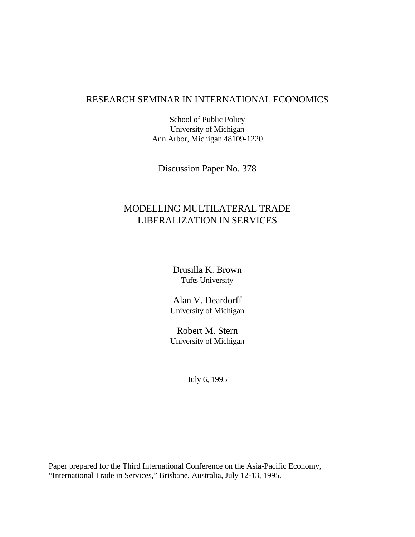### RESEARCH SEMINAR IN INTERNATIONAL ECONOMICS

School of Public Policy University of Michigan Ann Arbor, Michigan 48109-1220

Discussion Paper No. 378

# MODELLING MULTILATERAL TRADE LIBERALIZATION IN SERVICES

Drusilla K. Brown Tufts University

Alan V. Deardorff University of Michigan

Robert M. Stern University of Michigan

July 6, 1995

Paper prepared for the Third International Conference on the Asia-Pacific Economy, "International Trade in Services," Brisbane, Australia, July 12-13, 1995.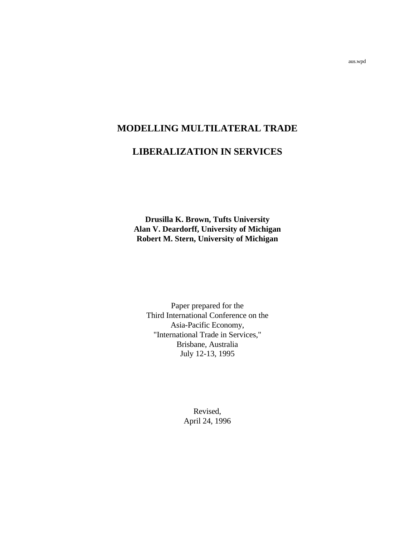# **MODELLING MULTILATERAL TRADE**

# **LIBERALIZATION IN SERVICES**

**Drusilla K. Brown, Tufts University Alan V. Deardorff, University of Michigan Robert M. Stern, University of Michigan**

Paper prepared for the Third International Conference on the Asia-Pacific Economy, "International Trade in Services," Brisbane, Australia July 12-13, 1995

> Revised, April 24, 1996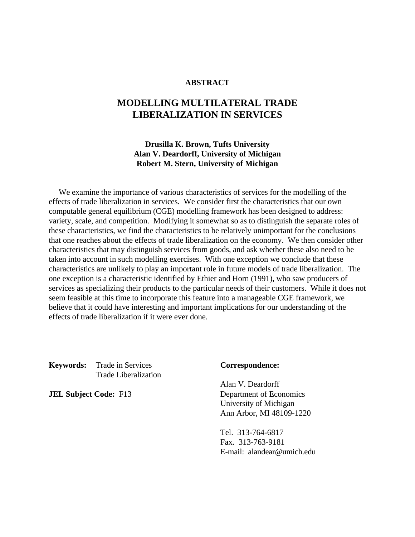#### **ABSTRACT**

# **MODELLING MULTILATERAL TRADE LIBERALIZATION IN SERVICES**

**Drusilla K. Brown, Tufts University Alan V. Deardorff, University of Michigan Robert M. Stern, University of Michigan**

 We examine the importance of various characteristics of services for the modelling of the effects of trade liberalization in services. We consider first the characteristics that our own computable general equilibrium (CGE) modelling framework has been designed to address: variety, scale, and competition. Modifying it somewhat so as to distinguish the separate roles of these characteristics, we find the characteristics to be relatively unimportant for the conclusions that one reaches about the effects of trade liberalization on the economy. We then consider other characteristics that may distinguish services from goods, and ask whether these also need to be taken into account in such modelling exercises. With one exception we conclude that these characteristics are unlikely to play an important role in future models of trade liberalization. The one exception is a characteristic identified by Ethier and Horn (1991), who saw producers of services as specializing their products to the particular needs of their customers. While it does not seem feasible at this time to incorporate this feature into a manageable CGE framework, we believe that it could have interesting and important implications for our understanding of the effects of trade liberalization if it were ever done.

**Keywords:** Trade in Services **Correspondence:** Trade Liberalization

Alan V. Deardorff **JEL Subject Code:** F13 Department of Economics University of Michigan Ann Arbor, MI 48109-1220

> Tel. 313-764-6817 Fax. 313-763-9181 E-mail: alandear@umich.edu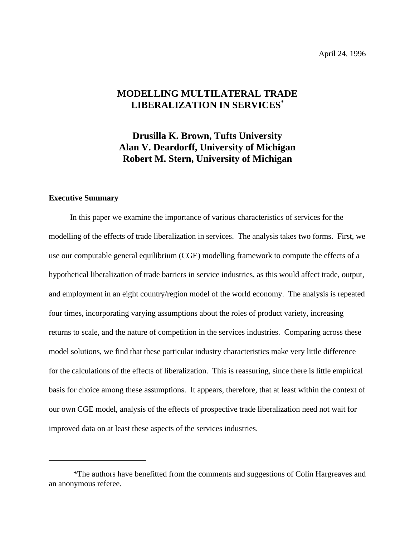# **MODELLING MULTILATERAL TRADE LIBERALIZATION IN SERVICES\***

# **Drusilla K. Brown, Tufts University Alan V. Deardorff, University of Michigan Robert M. Stern, University of Michigan**

#### **Executive Summary**

In this paper we examine the importance of various characteristics of services for the modelling of the effects of trade liberalization in services. The analysis takes two forms. First, we use our computable general equilibrium (CGE) modelling framework to compute the effects of a hypothetical liberalization of trade barriers in service industries, as this would affect trade, output, and employment in an eight country/region model of the world economy. The analysis is repeated four times, incorporating varying assumptions about the roles of product variety, increasing returns to scale, and the nature of competition in the services industries. Comparing across these model solutions, we find that these particular industry characteristics make very little difference for the calculations of the effects of liberalization. This is reassuring, since there is little empirical basis for choice among these assumptions. It appears, therefore, that at least within the context of our own CGE model, analysis of the effects of prospective trade liberalization need not wait for improved data on at least these aspects of the services industries.

<sup>\*</sup>The authors have benefitted from the comments and suggestions of Colin Hargreaves and an anonymous referee.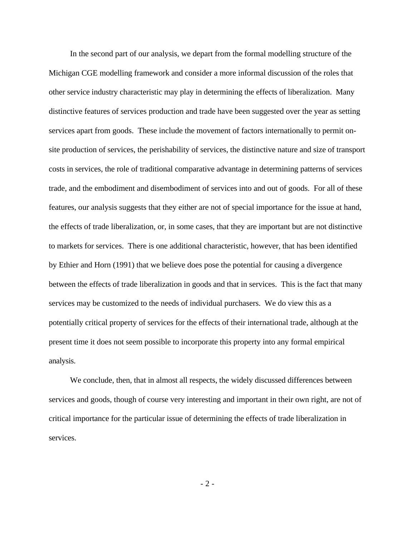In the second part of our analysis, we depart from the formal modelling structure of the Michigan CGE modelling framework and consider a more informal discussion of the roles that other service industry characteristic may play in determining the effects of liberalization. Many distinctive features of services production and trade have been suggested over the year as setting services apart from goods. These include the movement of factors internationally to permit onsite production of services, the perishability of services, the distinctive nature and size of transport costs in services, the role of traditional comparative advantage in determining patterns of services trade, and the embodiment and disembodiment of services into and out of goods. For all of these features, our analysis suggests that they either are not of special importance for the issue at hand, the effects of trade liberalization, or, in some cases, that they are important but are not distinctive to markets for services. There is one additional characteristic, however, that has been identified by Ethier and Horn (1991) that we believe does pose the potential for causing a divergence between the effects of trade liberalization in goods and that in services. This is the fact that many services may be customized to the needs of individual purchasers. We do view this as a potentially critical property of services for the effects of their international trade, although at the present time it does not seem possible to incorporate this property into any formal empirical analysis.

We conclude, then, that in almost all respects, the widely discussed differences between services and goods, though of course very interesting and important in their own right, are not of critical importance for the particular issue of determining the effects of trade liberalization in services.

- 2 -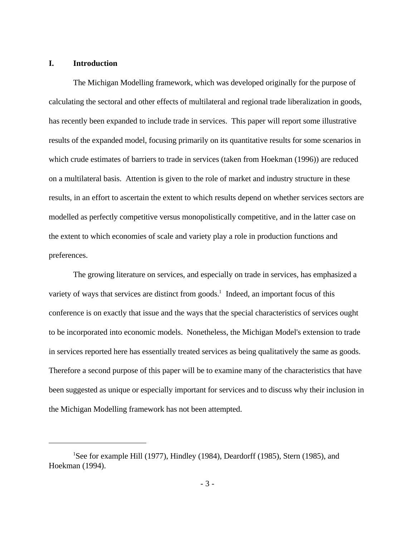#### **I. Introduction**

The Michigan Modelling framework, which was developed originally for the purpose of calculating the sectoral and other effects of multilateral and regional trade liberalization in goods, has recently been expanded to include trade in services. This paper will report some illustrative results of the expanded model, focusing primarily on its quantitative results for some scenarios in which crude estimates of barriers to trade in services (taken from Hoekman (1996)) are reduced on a multilateral basis. Attention is given to the role of market and industry structure in these results, in an effort to ascertain the extent to which results depend on whether services sectors are modelled as perfectly competitive versus monopolistically competitive, and in the latter case on the extent to which economies of scale and variety play a role in production functions and preferences.

The growing literature on services, and especially on trade in services, has emphasized a variety of ways that services are distinct from goods.<sup>1</sup> Indeed, an important focus of this conference is on exactly that issue and the ways that the special characteristics of services ought to be incorporated into economic models. Nonetheless, the Michigan Model's extension to trade in services reported here has essentially treated services as being qualitatively the same as goods. Therefore a second purpose of this paper will be to examine many of the characteristics that have been suggested as unique or especially important for services and to discuss why their inclusion in the Michigan Modelling framework has not been attempted.

<sup>&</sup>lt;sup>1</sup>See for example Hill (1977), Hindley (1984), Deardorff (1985), Stern (1985), and Hoekman (1994).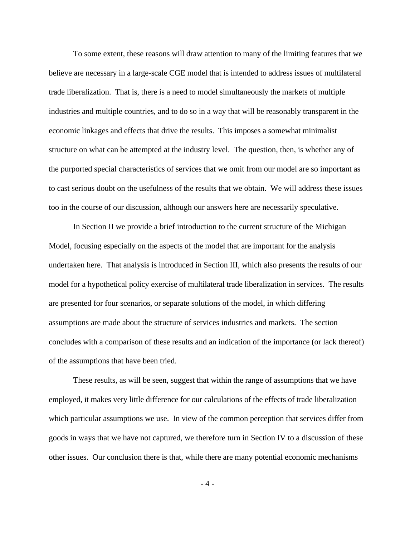To some extent, these reasons will draw attention to many of the limiting features that we believe are necessary in a large-scale CGE model that is intended to address issues of multilateral trade liberalization. That is, there is a need to model simultaneously the markets of multiple industries and multiple countries, and to do so in a way that will be reasonably transparent in the economic linkages and effects that drive the results. This imposes a somewhat minimalist structure on what can be attempted at the industry level. The question, then, is whether any of the purported special characteristics of services that we omit from our model are so important as to cast serious doubt on the usefulness of the results that we obtain. We will address these issues too in the course of our discussion, although our answers here are necessarily speculative.

In Section II we provide a brief introduction to the current structure of the Michigan Model, focusing especially on the aspects of the model that are important for the analysis undertaken here. That analysis is introduced in Section III, which also presents the results of our model for a hypothetical policy exercise of multilateral trade liberalization in services. The results are presented for four scenarios, or separate solutions of the model, in which differing assumptions are made about the structure of services industries and markets. The section concludes with a comparison of these results and an indication of the importance (or lack thereof) of the assumptions that have been tried.

These results, as will be seen, suggest that within the range of assumptions that we have employed, it makes very little difference for our calculations of the effects of trade liberalization which particular assumptions we use. In view of the common perception that services differ from goods in ways that we have not captured, we therefore turn in Section IV to a discussion of these other issues. Our conclusion there is that, while there are many potential economic mechanisms

- 4 -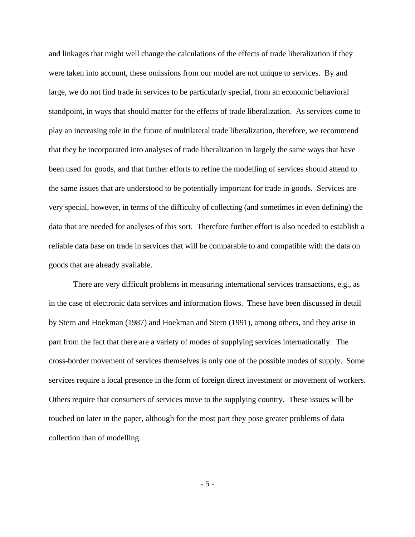and linkages that might well change the calculations of the effects of trade liberalization if they were taken into account, these omissions from our model are not unique to services. By and large, we do not find trade in services to be particularly special, from an economic behavioral standpoint, in ways that should matter for the effects of trade liberalization. As services come to play an increasing role in the future of multilateral trade liberalization, therefore, we recommend that they be incorporated into analyses of trade liberalization in largely the same ways that have been used for goods, and that further efforts to refine the modelling of services should attend to the same issues that are understood to be potentially important for trade in goods. Services are very special, however, in terms of the difficulty of collecting (and sometimes in even defining) the data that are needed for analyses of this sort. Therefore further effort is also needed to establish a reliable data base on trade in services that will be comparable to and compatible with the data on goods that are already available.

There are very difficult problems in measuring international services transactions, e.g., as in the case of electronic data services and information flows. These have been discussed in detail by Stern and Hoekman (1987) and Hoekman and Stern (1991), among others, and they arise in part from the fact that there are a variety of modes of supplying services internationally. The cross-border movement of services themselves is only one of the possible modes of supply. Some services require a local presence in the form of foreign direct investment or movement of workers. Others require that consumers of services move to the supplying country. These issues will be touched on later in the paper, although for the most part they pose greater problems of data collection than of modelling.

- 5 -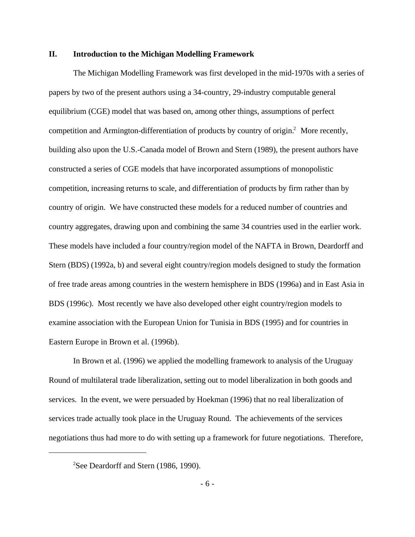#### **II. Introduction to the Michigan Modelling Framework**

The Michigan Modelling Framework was first developed in the mid-1970s with a series of papers by two of the present authors using a 34-country, 29-industry computable general equilibrium (CGE) model that was based on, among other things, assumptions of perfect competition and Armington-differentiation of products by country of origin.<sup>2</sup> More recently, building also upon the U.S.-Canada model of Brown and Stern (1989), the present authors have constructed a series of CGE models that have incorporated assumptions of monopolistic competition, increasing returns to scale, and differentiation of products by firm rather than by country of origin. We have constructed these models for a reduced number of countries and country aggregates, drawing upon and combining the same 34 countries used in the earlier work. These models have included a four country/region model of the NAFTA in Brown, Deardorff and Stern (BDS) (1992a, b) and several eight country/region models designed to study the formation of free trade areas among countries in the western hemisphere in BDS (1996a) and in East Asia in BDS (1996c). Most recently we have also developed other eight country/region models to examine association with the European Union for Tunisia in BDS (1995) and for countries in Eastern Europe in Brown et al. (1996b).

In Brown et al. (1996) we applied the modelling framework to analysis of the Uruguay Round of multilateral trade liberalization, setting out to model liberalization in both goods and services. In the event, we were persuaded by Hoekman (1996) that no real liberalization of services trade actually took place in the Uruguay Round. The achievements of the services negotiations thus had more to do with setting up a framework for future negotiations. Therefore,

<sup>&</sup>lt;sup>2</sup>See Deardorff and Stern (1986, 1990).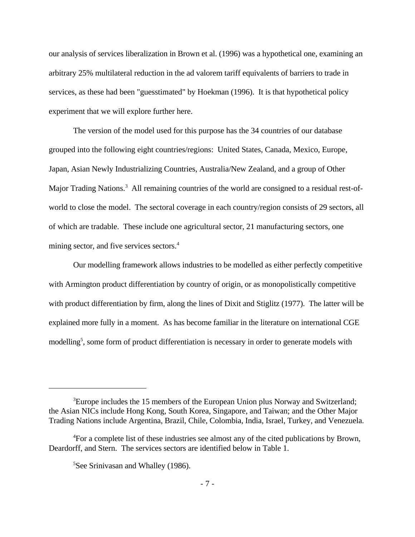our analysis of services liberalization in Brown et al. (1996) was a hypothetical one, examining an arbitrary 25% multilateral reduction in the ad valorem tariff equivalents of barriers to trade in services, as these had been "guesstimated" by Hoekman (1996). It is that hypothetical policy experiment that we will explore further here.

The version of the model used for this purpose has the 34 countries of our database grouped into the following eight countries/regions: United States, Canada, Mexico, Europe, Japan, Asian Newly Industrializing Countries, Australia/New Zealand, and a group of Other Major Trading Nations.<sup>3</sup> All remaining countries of the world are consigned to a residual rest-ofworld to close the model. The sectoral coverage in each country/region consists of 29 sectors, all of which are tradable. These include one agricultural sector, 21 manufacturing sectors, one mining sector, and five services sectors.<sup>4</sup>

Our modelling framework allows industries to be modelled as either perfectly competitive with Armington product differentiation by country of origin, or as monopolistically competitive with product differentiation by firm, along the lines of Dixit and Stiglitz (1977). The latter will be explained more fully in a moment. As has become familiar in the literature on international CGE modelling<sup>5</sup>, some form of product differentiation is necessary in order to generate models with

Europe includes the 15 members of the European Union plus Norway and Switzerland; <sup>3</sup> the Asian NICs include Hong Kong, South Korea, Singapore, and Taiwan; and the Other Major Trading Nations include Argentina, Brazil, Chile, Colombia, India, Israel, Turkey, and Venezuela.

<sup>&</sup>lt;sup>4</sup>For a complete list of these industries see almost any of the cited publications by Brown, Deardorff, and Stern. The services sectors are identified below in Table 1.

<sup>&</sup>lt;sup>5</sup>See Srinivasan and Whalley (1986).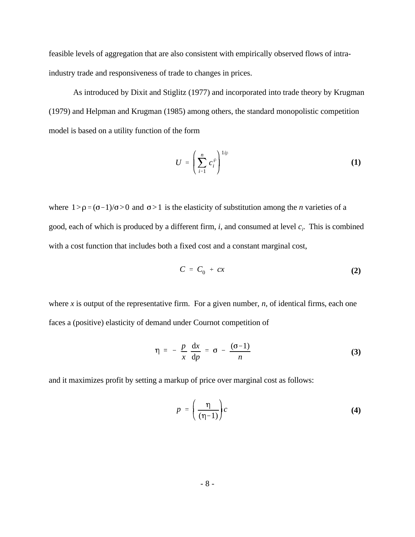feasible levels of aggregation that are also consistent with empirically observed flows of intraindustry trade and responsiveness of trade to changes in prices.

As introduced by Dixit and Stiglitz (1977) and incorporated into trade theory by Krugman (1979) and Helpman and Krugman (1985) among others, the standard monopolistic competition model is based on a utility function of the form

$$
U = \left(\sum_{i=1}^{n} c_i^{\rho}\right)^{1/\rho}
$$
 (1)

where  $1 > \rho = (\sigma - 1)/\sigma > 0$  and  $\sigma > 1$  is the elasticity of substitution among the *n* varieties of a good, each of which is produced by a different firm, *i*, and consumed at level *ci* . This is combined with a cost function that includes both a fixed cost and a constant marginal cost,

$$
C = C_0 + cx \tag{2}
$$

where  $x$  is output of the representative firm. For a given number,  $n$ , of identical firms, each one faces a (positive) elasticity of demand under Cournot competition of

$$
\eta = -\frac{p}{x} \frac{dx}{dp} = \sigma - \frac{(\sigma - 1)}{n}
$$
 (3)

and it maximizes profit by setting a markup of price over marginal cost as follows:

$$
p = \left(\frac{\eta}{(\eta - 1)}\right)c\tag{4}
$$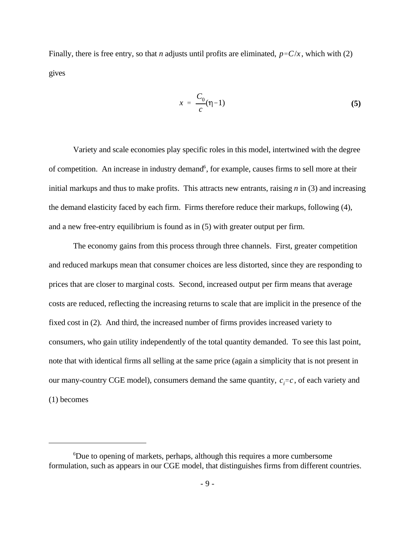Finally, there is free entry, so that *n* adjusts until profits are eliminated,  $p = C/x$ , which with (2) gives

$$
x = \frac{C_0}{c}(\eta - 1) \tag{5}
$$

Variety and scale economies play specific roles in this model, intertwined with the degree of competition. An increase in industry demand<sup>6</sup>, for example, causes firms to sell more at their initial markups and thus to make profits. This attracts new entrants, raising *n* in (3) and increasing the demand elasticity faced by each firm. Firms therefore reduce their markups, following (4), and a new free-entry equilibrium is found as in (5) with greater output per firm.

our many-country CGE model), consumers demand the same quantity,  $c_i = c$ , of each variety and The economy gains from this process through three channels. First, greater competition and reduced markups mean that consumer choices are less distorted, since they are responding to prices that are closer to marginal costs. Second, increased output per firm means that average costs are reduced, reflecting the increasing returns to scale that are implicit in the presence of the fixed cost in (2). And third, the increased number of firms provides increased variety to consumers, who gain utility independently of the total quantity demanded. To see this last point, note that with identical firms all selling at the same price (again a simplicity that is not present in (1) becomes

 ${}^{6}$ Due to opening of markets, perhaps, although this requires a more cumbersome formulation, such as appears in our CGE model, that distinguishes firms from different countries.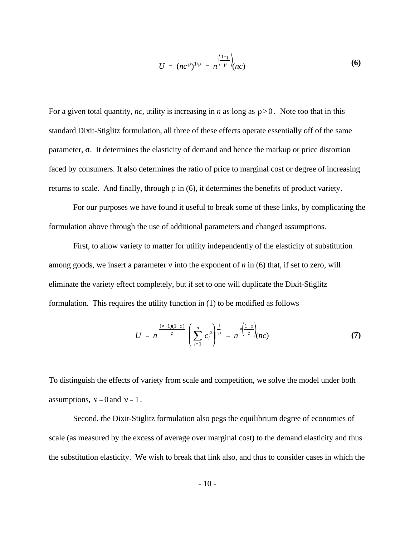$$
U = (nc^{\rho})^{1/\rho} = n^{\left(\frac{1-\rho}{\rho}\right)}(nc)
$$
 (6)

For a given total quantity, *nc*, utility is increasing in *n* as long as  $\rho > 0$ . Note too that in this standard Dixit-Stiglitz formulation, all three of these effects operate essentially off of the same parameter,  $\sigma$ . It determines the elasticity of demand and hence the markup or price distortion faced by consumers. It also determines the ratio of price to marginal cost or degree of increasing returns to scale. And finally, through  $\rho$  in (6), it determines the benefits of product variety.

For our purposes we have found it useful to break some of these links, by complicating the formulation above through the use of additional parameters and changed assumptions.

First, to allow variety to matter for utility independently of the elasticity of substitution among goods, we insert a parameter  $\nu$  into the exponent of  $n$  in (6) that, if set to zero, will eliminate the variety effect completely, but if set to one will duplicate the Dixit-Stiglitz formulation. This requires the utility function in (1) to be modified as follows

$$
U = n^{\frac{(v-1)(1-\rho)}{\rho}} \left( \sum_{i=1}^n c_i^{\rho} \right)^{\frac{1}{\rho}} = n^{\sqrt{\frac{1-\rho}{\rho}}} (nc) \tag{7}
$$

assumptions,  $v = 0$  and  $v = 1$ . To distinguish the effects of variety from scale and competition, we solve the model under both

Second, the Dixit-Stiglitz formulation also pegs the equilibrium degree of economies of scale (as measured by the excess of average over marginal cost) to the demand elasticity and thus the substitution elasticity. We wish to break that link also, and thus to consider cases in which the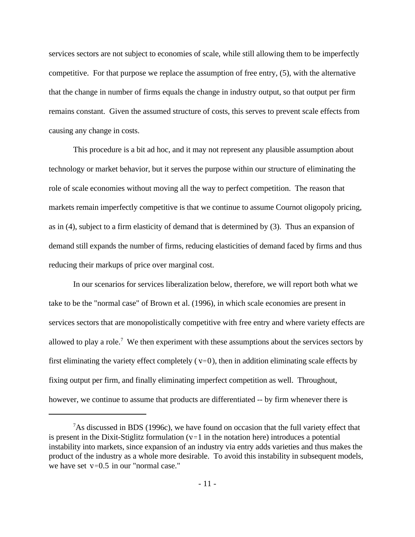services sectors are not subject to economies of scale, while still allowing them to be imperfectly competitive. For that purpose we replace the assumption of free entry, (5), with the alternative that the change in number of firms equals the change in industry output, so that output per firm remains constant. Given the assumed structure of costs, this serves to prevent scale effects from causing any change in costs.

This procedure is a bit ad hoc, and it may not represent any plausible assumption about technology or market behavior, but it serves the purpose within our structure of eliminating the role of scale economies without moving all the way to perfect competition. The reason that markets remain imperfectly competitive is that we continue to assume Cournot oligopoly pricing, as in (4), subject to a firm elasticity of demand that is determined by (3). Thus an expansion of demand still expands the number of firms, reducing elasticities of demand faced by firms and thus reducing their markups of price over marginal cost.

first eliminating the variety effect completely  $(v=0)$ , then in addition eliminating scale effects by In our scenarios for services liberalization below, therefore, we will report both what we take to be the "normal case" of Brown et al. (1996), in which scale economies are present in services sectors that are monopolistically competitive with free entry and where variety effects are allowed to play a role.<sup>7</sup> We then experiment with these assumptions about the services sectors by fixing output per firm, and finally eliminating imperfect competition as well. Throughout, however, we continue to assume that products are differentiated -- by firm whenever there is

is present in the Dixit-Stiglitz formulation  $(v=1)$  in the notation here) introduces a potential we have set  $v=0.5$  in our "normal case."  ${}^{7}$ As discussed in BDS (1996c), we have found on occasion that the full variety effect that instability into markets, since expansion of an industry via entry adds varieties and thus makes the product of the industry as a whole more desirable. To avoid this instability in subsequent models,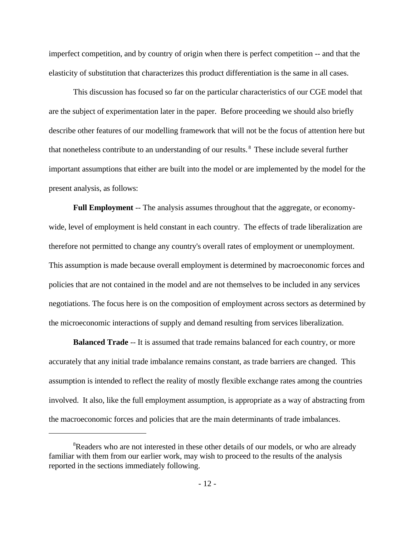imperfect competition, and by country of origin when there is perfect competition -- and that the elasticity of substitution that characterizes this product differentiation is the same in all cases.

This discussion has focused so far on the particular characteristics of our CGE model that are the subject of experimentation later in the paper. Before proceeding we should also briefly describe other features of our modelling framework that will not be the focus of attention here but that nonetheless contribute to an understanding of our results.<sup>8</sup> These include several further important assumptions that either are built into the model or are implemented by the model for the present analysis, as follows:

**Full Employment** -- The analysis assumes throughout that the aggregate, or economywide, level of employment is held constant in each country. The effects of trade liberalization are therefore not permitted to change any country's overall rates of employment or unemployment. This assumption is made because overall employment is determined by macroeconomic forces and policies that are not contained in the model and are not themselves to be included in any services negotiations. The focus here is on the composition of employment across sectors as determined by the microeconomic interactions of supply and demand resulting from services liberalization.

**Balanced Trade** -- It is assumed that trade remains balanced for each country, or more accurately that any initial trade imbalance remains constant, as trade barriers are changed. This assumption is intended to reflect the reality of mostly flexible exchange rates among the countries involved. It also, like the full employment assumption, is appropriate as a way of abstracting from the macroeconomic forces and policies that are the main determinants of trade imbalances.

<sup>&</sup>lt;sup>8</sup>Readers who are not interested in these other details of our models, or who are already familiar with them from our earlier work, may wish to proceed to the results of the analysis reported in the sections immediately following.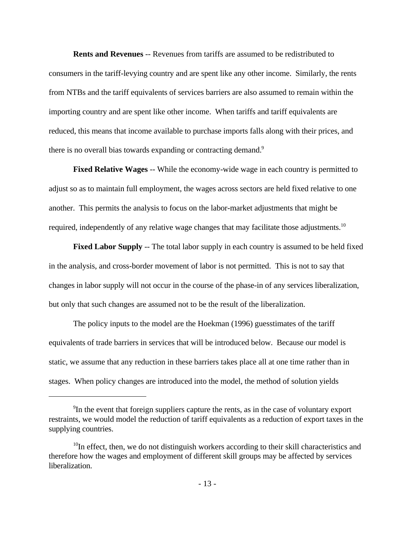**Rents and Revenues** -- Revenues from tariffs are assumed to be redistributed to consumers in the tariff-levying country and are spent like any other income. Similarly, the rents from NTBs and the tariff equivalents of services barriers are also assumed to remain within the importing country and are spent like other income. When tariffs and tariff equivalents are reduced, this means that income available to purchase imports falls along with their prices, and there is no overall bias towards expanding or contracting demand.<sup>9</sup>

**Fixed Relative Wages** -- While the economy-wide wage in each country is permitted to adjust so as to maintain full employment, the wages across sectors are held fixed relative to one another. This permits the analysis to focus on the labor-market adjustments that might be required, independently of any relative wage changes that may facilitate those adjustments.<sup>10</sup>

**Fixed Labor Supply** -- The total labor supply in each country is assumed to be held fixed in the analysis, and cross-border movement of labor is not permitted. This is not to say that changes in labor supply will not occur in the course of the phase-in of any services liberalization, but only that such changes are assumed not to be the result of the liberalization.

The policy inputs to the model are the Hoekman (1996) guesstimates of the tariff equivalents of trade barriers in services that will be introduced below. Because our model is static, we assume that any reduction in these barriers takes place all at one time rather than in stages. When policy changes are introduced into the model, the method of solution yields

<sup>&</sup>lt;sup>9</sup>In the event that foreign suppliers capture the rents, as in the case of voluntary export restraints, we would model the reduction of tariff equivalents as a reduction of export taxes in the supplying countries.

 $^{10}$ In effect, then, we do not distinguish workers according to their skill characteristics and therefore how the wages and employment of different skill groups may be affected by services liberalization.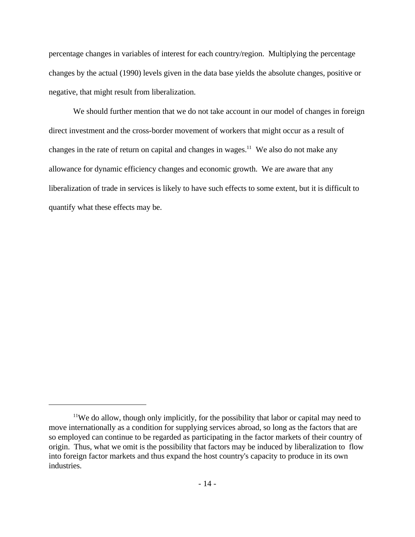percentage changes in variables of interest for each country/region. Multiplying the percentage changes by the actual (1990) levels given in the data base yields the absolute changes, positive or negative, that might result from liberalization.

We should further mention that we do not take account in our model of changes in foreign direct investment and the cross-border movement of workers that might occur as a result of changes in the rate of return on capital and changes in wages.<sup>11</sup> We also do not make any allowance for dynamic efficiency changes and economic growth. We are aware that any liberalization of trade in services is likely to have such effects to some extent, but it is difficult to quantify what these effects may be.

 $11$ We do allow, though only implicitly, for the possibility that labor or capital may need to move internationally as a condition for supplying services abroad, so long as the factors that are so employed can continue to be regarded as participating in the factor markets of their country of origin. Thus, what we omit is the possibility that factors may be induced by liberalization to flow into foreign factor markets and thus expand the host country's capacity to produce in its own industries.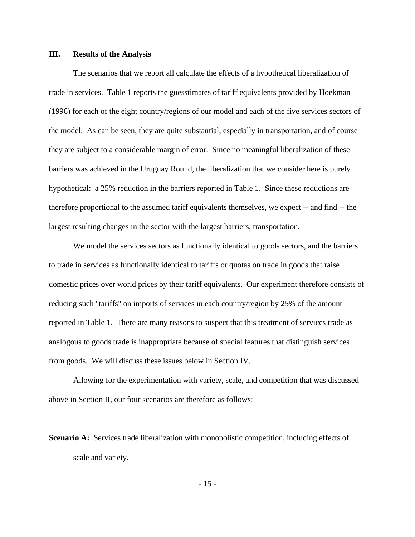#### **III. Results of the Analysis**

The scenarios that we report all calculate the effects of a hypothetical liberalization of trade in services. Table 1 reports the guesstimates of tariff equivalents provided by Hoekman (1996) for each of the eight country/regions of our model and each of the five services sectors of the model. As can be seen, they are quite substantial, especially in transportation, and of course they are subject to a considerable margin of error. Since no meaningful liberalization of these barriers was achieved in the Uruguay Round, the liberalization that we consider here is purely hypothetical: a 25% reduction in the barriers reported in Table 1. Since these reductions are therefore proportional to the assumed tariff equivalents themselves, we expect -- and find -- the largest resulting changes in the sector with the largest barriers, transportation.

We model the services sectors as functionally identical to goods sectors, and the barriers to trade in services as functionally identical to tariffs or quotas on trade in goods that raise domestic prices over world prices by their tariff equivalents. Our experiment therefore consists of reducing such "tariffs" on imports of services in each country/region by 25% of the amount reported in Table 1. There are many reasons to suspect that this treatment of services trade as analogous to goods trade is inappropriate because of special features that distinguish services from goods. We will discuss these issues below in Section IV.

Allowing for the experimentation with variety, scale, and competition that was discussed above in Section II, our four scenarios are therefore as follows:

**Scenario A:** Services trade liberalization with monopolistic competition, including effects of scale and variety.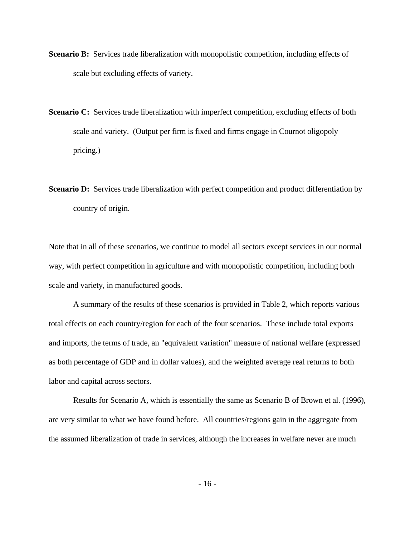- **Scenario B:** Services trade liberalization with monopolistic competition, including effects of scale but excluding effects of variety.
- **Scenario C:** Services trade liberalization with imperfect competition, excluding effects of both scale and variety. (Output per firm is fixed and firms engage in Cournot oligopoly pricing.)
- **Scenario D:** Services trade liberalization with perfect competition and product differentiation by country of origin.

Note that in all of these scenarios, we continue to model all sectors except services in our normal way, with perfect competition in agriculture and with monopolistic competition, including both scale and variety, in manufactured goods.

A summary of the results of these scenarios is provided in Table 2, which reports various total effects on each country/region for each of the four scenarios. These include total exports and imports, the terms of trade, an "equivalent variation" measure of national welfare (expressed as both percentage of GDP and in dollar values), and the weighted average real returns to both labor and capital across sectors.

Results for Scenario A, which is essentially the same as Scenario B of Brown et al. (1996), are very similar to what we have found before. All countries/regions gain in the aggregate from the assumed liberalization of trade in services, although the increases in welfare never are much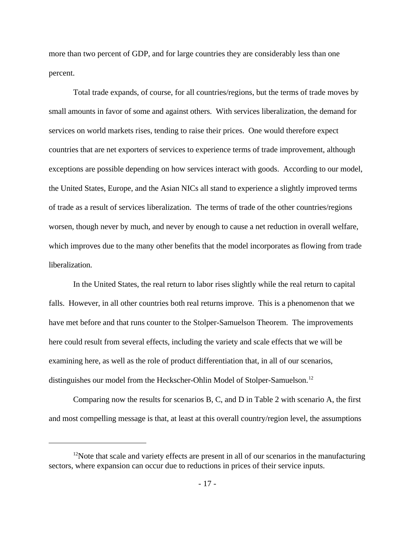more than two percent of GDP, and for large countries they are considerably less than one percent.

Total trade expands, of course, for all countries/regions, but the terms of trade moves by small amounts in favor of some and against others. With services liberalization, the demand for services on world markets rises, tending to raise their prices. One would therefore expect countries that are net exporters of services to experience terms of trade improvement, although exceptions are possible depending on how services interact with goods. According to our model, the United States, Europe, and the Asian NICs all stand to experience a slightly improved terms of trade as a result of services liberalization. The terms of trade of the other countries/regions worsen, though never by much, and never by enough to cause a net reduction in overall welfare, which improves due to the many other benefits that the model incorporates as flowing from trade liberalization.

In the United States, the real return to labor rises slightly while the real return to capital falls. However, in all other countries both real returns improve. This is a phenomenon that we have met before and that runs counter to the Stolper-Samuelson Theorem. The improvements here could result from several effects, including the variety and scale effects that we will be examining here, as well as the role of product differentiation that, in all of our scenarios, distinguishes our model from the Heckscher-Ohlin Model of Stolper-Samuelson.<sup>12</sup>

Comparing now the results for scenarios B, C, and D in Table 2 with scenario A, the first and most compelling message is that, at least at this overall country/region level, the assumptions

 $12$ Note that scale and variety effects are present in all of our scenarios in the manufacturing sectors, where expansion can occur due to reductions in prices of their service inputs.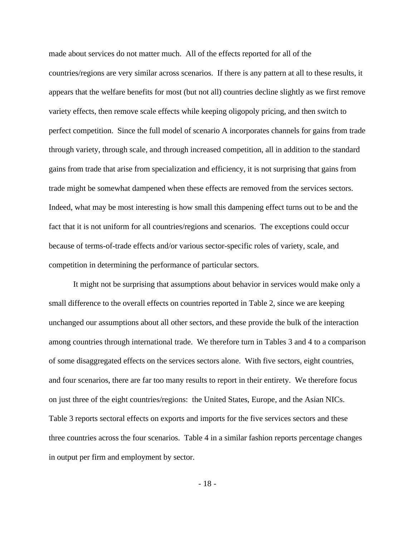made about services do not matter much. All of the effects reported for all of the countries/regions are very similar across scenarios. If there is any pattern at all to these results, it appears that the welfare benefits for most (but not all) countries decline slightly as we first remove variety effects, then remove scale effects while keeping oligopoly pricing, and then switch to perfect competition. Since the full model of scenario A incorporates channels for gains from trade through variety, through scale, and through increased competition, all in addition to the standard gains from trade that arise from specialization and efficiency, it is not surprising that gains from trade might be somewhat dampened when these effects are removed from the services sectors. Indeed, what may be most interesting is how small this dampening effect turns out to be and the fact that it is not uniform for all countries/regions and scenarios. The exceptions could occur because of terms-of-trade effects and/or various sector-specific roles of variety, scale, and competition in determining the performance of particular sectors.

It might not be surprising that assumptions about behavior in services would make only a small difference to the overall effects on countries reported in Table 2, since we are keeping unchanged our assumptions about all other sectors, and these provide the bulk of the interaction among countries through international trade. We therefore turn in Tables 3 and 4 to a comparison of some disaggregated effects on the services sectors alone. With five sectors, eight countries, and four scenarios, there are far too many results to report in their entirety. We therefore focus on just three of the eight countries/regions: the United States, Europe, and the Asian NICs. Table 3 reports sectoral effects on exports and imports for the five services sectors and these three countries across the four scenarios. Table 4 in a similar fashion reports percentage changes in output per firm and employment by sector.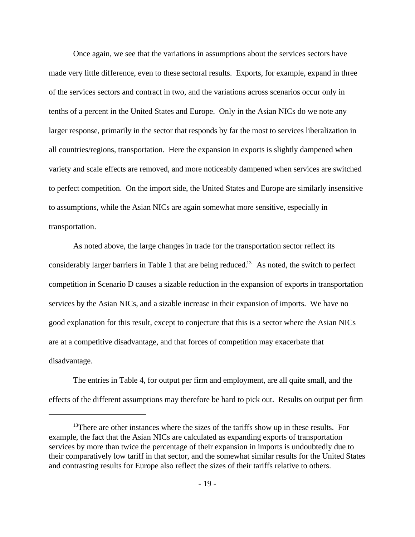Once again, we see that the variations in assumptions about the services sectors have made very little difference, even to these sectoral results. Exports, for example, expand in three of the services sectors and contract in two, and the variations across scenarios occur only in tenths of a percent in the United States and Europe. Only in the Asian NICs do we note any larger response, primarily in the sector that responds by far the most to services liberalization in all countries/regions, transportation. Here the expansion in exports is slightly dampened when variety and scale effects are removed, and more noticeably dampened when services are switched to perfect competition. On the import side, the United States and Europe are similarly insensitive to assumptions, while the Asian NICs are again somewhat more sensitive, especially in transportation.

As noted above, the large changes in trade for the transportation sector reflect its considerably larger barriers in Table 1 that are being reduced.<sup>13</sup> As noted, the switch to perfect competition in Scenario D causes a sizable reduction in the expansion of exports in transportation services by the Asian NICs, and a sizable increase in their expansion of imports. We have no good explanation for this result, except to conjecture that this is a sector where the Asian NICs are at a competitive disadvantage, and that forces of competition may exacerbate that disadvantage.

The entries in Table 4, for output per firm and employment, are all quite small, and the effects of the different assumptions may therefore be hard to pick out. Results on output per firm

 $13$ There are other instances where the sizes of the tariffs show up in these results. For example, the fact that the Asian NICs are calculated as expanding exports of transportation services by more than twice the percentage of their expansion in imports is undoubtedly due to their comparatively low tariff in that sector, and the somewhat similar results for the United States and contrasting results for Europe also reflect the sizes of their tariffs relative to others.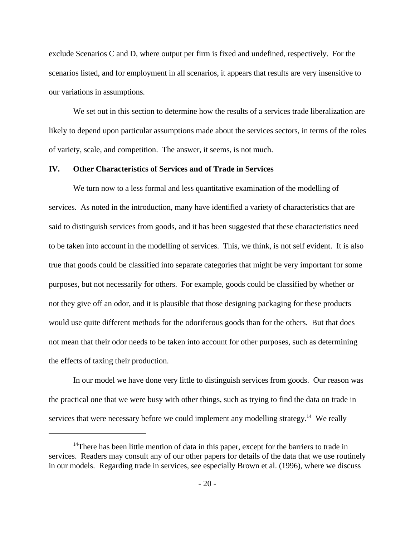exclude Scenarios C and D, where output per firm is fixed and undefined, respectively. For the scenarios listed, and for employment in all scenarios, it appears that results are very insensitive to our variations in assumptions.

We set out in this section to determine how the results of a services trade liberalization are likely to depend upon particular assumptions made about the services sectors, in terms of the roles of variety, scale, and competition. The answer, it seems, is not much.

#### **IV. Other Characteristics of Services and of Trade in Services**

We turn now to a less formal and less quantitative examination of the modelling of services. As noted in the introduction, many have identified a variety of characteristics that are said to distinguish services from goods, and it has been suggested that these characteristics need to be taken into account in the modelling of services. This, we think, is not self evident. It is also true that goods could be classified into separate categories that might be very important for some purposes, but not necessarily for others. For example, goods could be classified by whether or not they give off an odor, and it is plausible that those designing packaging for these products would use quite different methods for the odoriferous goods than for the others. But that does not mean that their odor needs to be taken into account for other purposes, such as determining the effects of taxing their production.

In our model we have done very little to distinguish services from goods. Our reason was the practical one that we were busy with other things, such as trying to find the data on trade in services that were necessary before we could implement any modelling strategy.<sup>14</sup> We really

<sup>&</sup>lt;sup>14</sup>There has been little mention of data in this paper, except for the barriers to trade in services. Readers may consult any of our other papers for details of the data that we use routinely in our models. Regarding trade in services, see especially Brown et al. (1996), where we discuss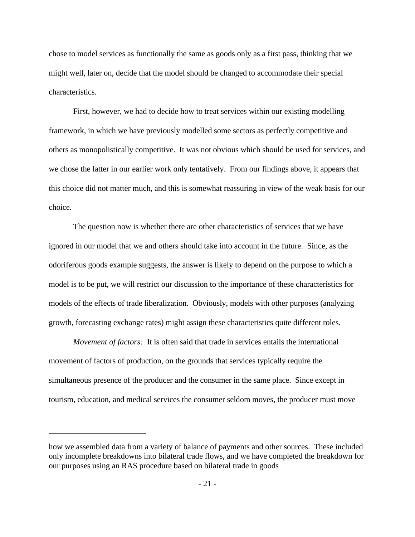chose to model services as functionally the same as goods only as a first pass, thinking that we might well, later on, decide that the model should be changed to accommodate their special characteristics.

First, however, we had to decide how to treat services within our existing modelling framework, in which we have previously modelled some sectors as perfectly competitive and others as monopolistically competitive. It was not obvious which should be used for services, and we chose the latter in our earlier work only tentatively. From our findings above, it appears that this choice did not matter much, and this is somewhat reassuring in view of the weak basis for our choice.

The question now is whether there are other characteristics of services that we have ignored in our model that we and others should take into account in the future. Since, as the odoriferous goods example suggests, the answer is likely to depend on the purpose to which a model is to be put, we will restrict our discussion to the importance of these characteristics for models of the effects of trade liberalization. Obviously, models with other purposes (analyzing growth, forecasting exchange rates) might assign these characteristics quite different roles.

*Movement of factors:* It is often said that trade in services entails the international movement of factors of production, on the grounds that services typically require the simultaneous presence of the producer and the consumer in the same place. Since except in tourism, education, and medical services the consumer seldom moves, the producer must move

how we assembled data from a variety of balance of payments and other sources. These included only incomplete breakdowns into bilateral trade flows, and we have completed the breakdown for our purposes using an RAS procedure based on bilateral trade in goods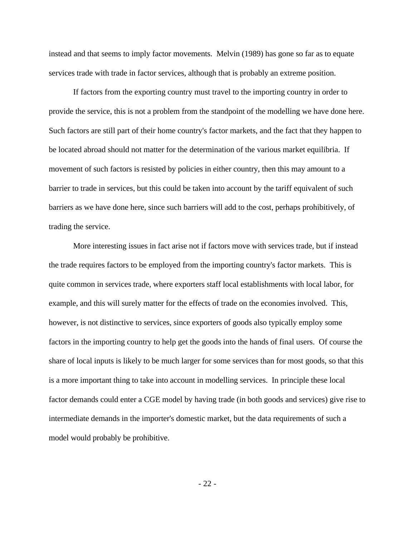instead and that seems to imply factor movements. Melvin (1989) has gone so far as to equate services trade with trade in factor services, although that is probably an extreme position.

If factors from the exporting country must travel to the importing country in order to provide the service, this is not a problem from the standpoint of the modelling we have done here. Such factors are still part of their home country's factor markets, and the fact that they happen to be located abroad should not matter for the determination of the various market equilibria. If movement of such factors is resisted by policies in either country, then this may amount to a barrier to trade in services, but this could be taken into account by the tariff equivalent of such barriers as we have done here, since such barriers will add to the cost, perhaps prohibitively, of trading the service.

More interesting issues in fact arise not if factors move with services trade, but if instead the trade requires factors to be employed from the importing country's factor markets. This is quite common in services trade, where exporters staff local establishments with local labor, for example, and this will surely matter for the effects of trade on the economies involved. This, however, is not distinctive to services, since exporters of goods also typically employ some factors in the importing country to help get the goods into the hands of final users. Of course the share of local inputs is likely to be much larger for some services than for most goods, so that this is a more important thing to take into account in modelling services. In principle these local factor demands could enter a CGE model by having trade (in both goods and services) give rise to intermediate demands in the importer's domestic market, but the data requirements of such a model would probably be prohibitive.

- 22 -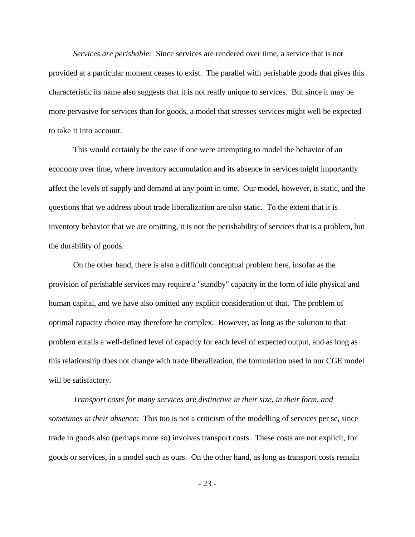*Services are perishable:* Since services are rendered over time, a service that is not provided at a particular moment ceases to exist. The parallel with perishable goods that gives this characteristic its name also suggests that it is not really unique to services. But since it may be more pervasive for services than for goods, a model that stresses services might well be expected to take it into account.

This would certainly be the case if one were attempting to model the behavior of an economy over time, where inventory accumulation and its absence in services might importantly affect the levels of supply and demand at any point in time. Our model, however, is static, and the questions that we address about trade liberalization are also static. To the extent that it is inventory behavior that we are omitting, it is not the perishability of services that is a problem, but the durability of goods.

On the other hand, there is also a difficult conceptual problem here, insofar as the provision of perishable services may require a "standby" capacity in the form of idle physical and human capital, and we have also omitted any explicit consideration of that. The problem of optimal capacity choice may therefore be complex. However, as long as the solution to that problem entails a well-defined level of capacity for each level of expected output, and as long as this relationship does not change with trade liberalization, the formulation used in our CGE model will be satisfactory.

*Transport costs for many services are distinctive in their size, in their form, and sometimes in their absence:* This too is not a criticism of the modelling of services per se, since trade in goods also (perhaps more so) involves transport costs. These costs are not explicit, for goods or services, in a model such as ours. On the other hand, as long as transport costs remain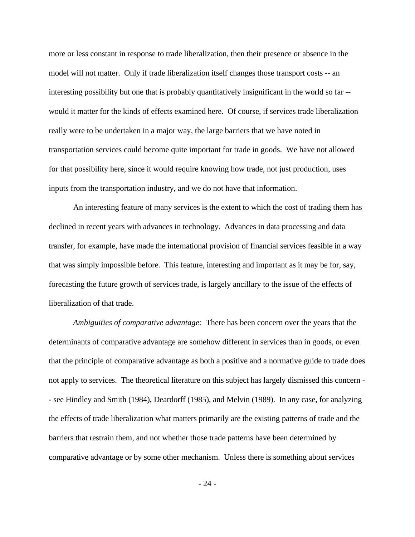more or less constant in response to trade liberalization, then their presence or absence in the model will not matter. Only if trade liberalization itself changes those transport costs -- an interesting possibility but one that is probably quantitatively insignificant in the world so far - would it matter for the kinds of effects examined here. Of course, if services trade liberalization really were to be undertaken in a major way, the large barriers that we have noted in transportation services could become quite important for trade in goods. We have not allowed for that possibility here, since it would require knowing how trade, not just production, uses inputs from the transportation industry, and we do not have that information.

An interesting feature of many services is the extent to which the cost of trading them has declined in recent years with advances in technology. Advances in data processing and data transfer, for example, have made the international provision of financial services feasible in a way that was simply impossible before. This feature, interesting and important as it may be for, say, forecasting the future growth of services trade, is largely ancillary to the issue of the effects of liberalization of that trade.

*Ambiguities of comparative advantage:* There has been concern over the years that the determinants of comparative advantage are somehow different in services than in goods, or even that the principle of comparative advantage as both a positive and a normative guide to trade does not apply to services. The theoretical literature on this subject has largely dismissed this concern - - see Hindley and Smith (1984), Deardorff (1985), and Melvin (1989). In any case, for analyzing the effects of trade liberalization what matters primarily are the existing patterns of trade and the barriers that restrain them, and not whether those trade patterns have been determined by comparative advantage or by some other mechanism. Unless there is something about services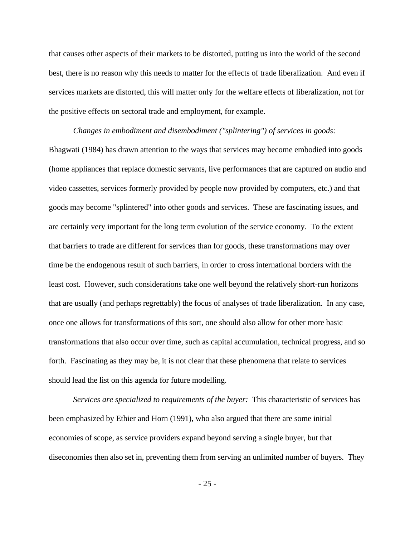that causes other aspects of their markets to be distorted, putting us into the world of the second best, there is no reason why this needs to matter for the effects of trade liberalization. And even if services markets are distorted, this will matter only for the welfare effects of liberalization, not for the positive effects on sectoral trade and employment, for example.

*Changes in embodiment and disembodiment ("splintering") of services in goods:* Bhagwati (1984) has drawn attention to the ways that services may become embodied into goods (home appliances that replace domestic servants, live performances that are captured on audio and video cassettes, services formerly provided by people now provided by computers, etc.) and that goods may become "splintered" into other goods and services. These are fascinating issues, and are certainly very important for the long term evolution of the service economy. To the extent that barriers to trade are different for services than for goods, these transformations may over time be the endogenous result of such barriers, in order to cross international borders with the least cost. However, such considerations take one well beyond the relatively short-run horizons that are usually (and perhaps regrettably) the focus of analyses of trade liberalization. In any case, once one allows for transformations of this sort, one should also allow for other more basic transformations that also occur over time, such as capital accumulation, technical progress, and so forth. Fascinating as they may be, it is not clear that these phenomena that relate to services should lead the list on this agenda for future modelling.

*Services are specialized to requirements of the buyer:* This characteristic of services has been emphasized by Ethier and Horn (1991), who also argued that there are some initial economies of scope, as service providers expand beyond serving a single buyer, but that diseconomies then also set in, preventing them from serving an unlimited number of buyers. They

- 25 -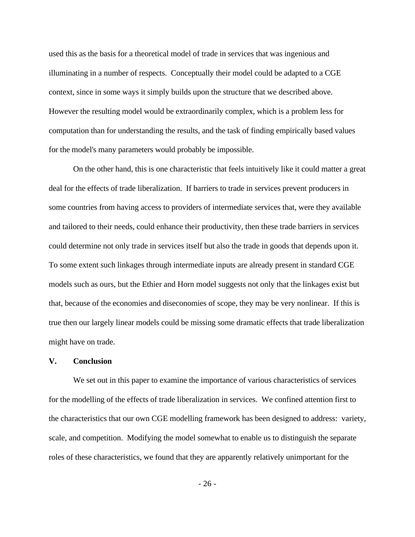used this as the basis for a theoretical model of trade in services that was ingenious and illuminating in a number of respects. Conceptually their model could be adapted to a CGE context, since in some ways it simply builds upon the structure that we described above. However the resulting model would be extraordinarily complex, which is a problem less for computation than for understanding the results, and the task of finding empirically based values for the model's many parameters would probably be impossible.

On the other hand, this is one characteristic that feels intuitively like it could matter a great deal for the effects of trade liberalization. If barriers to trade in services prevent producers in some countries from having access to providers of intermediate services that, were they available and tailored to their needs, could enhance their productivity, then these trade barriers in services could determine not only trade in services itself but also the trade in goods that depends upon it. To some extent such linkages through intermediate inputs are already present in standard CGE models such as ours, but the Ethier and Horn model suggests not only that the linkages exist but that, because of the economies and diseconomies of scope, they may be very nonlinear. If this is true then our largely linear models could be missing some dramatic effects that trade liberalization might have on trade.

#### **V. Conclusion**

We set out in this paper to examine the importance of various characteristics of services for the modelling of the effects of trade liberalization in services. We confined attention first to the characteristics that our own CGE modelling framework has been designed to address: variety, scale, and competition. Modifying the model somewhat to enable us to distinguish the separate roles of these characteristics, we found that they are apparently relatively unimportant for the

- 26 -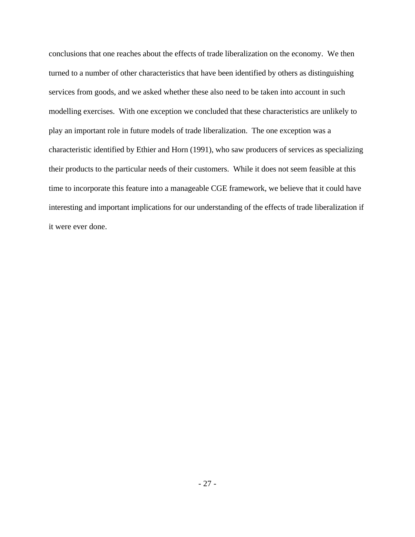conclusions that one reaches about the effects of trade liberalization on the economy. We then turned to a number of other characteristics that have been identified by others as distinguishing services from goods, and we asked whether these also need to be taken into account in such modelling exercises. With one exception we concluded that these characteristics are unlikely to play an important role in future models of trade liberalization. The one exception was a characteristic identified by Ethier and Horn (1991), who saw producers of services as specializing their products to the particular needs of their customers. While it does not seem feasible at this time to incorporate this feature into a manageable CGE framework, we believe that it could have interesting and important implications for our understanding of the effects of trade liberalization if it were ever done.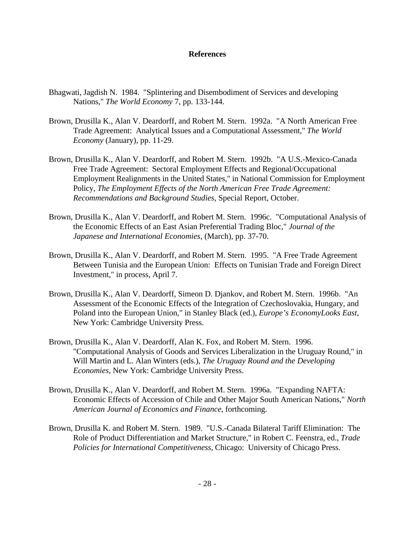#### **References**

- Bhagwati, Jagdish N. 1984. "Splintering and Disembodiment of Services and developing Nations," *The World Economy* 7, pp. 133-144.
- Brown, Drusilla K., Alan V. Deardorff, and Robert M. Stern. 1992a. "A North American Free Trade Agreement: Analytical Issues and a Computational Assessment," *The World Economy* (January), pp. 11-29.
- Brown, Drusilla K., Alan V. Deardorff, and Robert M. Stern. 1992b. "A U.S.-Mexico-Canada Free Trade Agreement: Sectoral Employment Effects and Regional/Occupational Employment Realignments in the United States," in National Commission for Employment Policy, *The Employment Effects of the North American Free Trade Agreement: Recommendations and Background Studies*, Special Report, October.
- Brown, Drusilla K., Alan V. Deardorff, and Robert M. Stern. 1996c. "Computational Analysis of the Economic Effects of an East Asian Preferential Trading Bloc," *Journal of the Japanese and International Economies*, (March), pp. 37-70.
- Brown, Drusilla K., Alan V. Deardorff, and Robert M. Stern. 1995. "A Free Trade Agreement Between Tunisia and the European Union: Effects on Tunisian Trade and Foreign Direct Investment," in process, April 7.
- Brown, Drusilla K., Alan V. Deardorff, Simeon D. Djankov, and Robert M. Stern. 1996b. "An Assessment of the Economic Effects of the Integration of Czechoslovakia, Hungary, and Poland into the European Union," in Stanley Black (ed.), *Europe's EconomyLooks East*, New York: Cambridge University Press.
- Brown, Drusilla K., Alan V. Deardorff, Alan K. Fox, and Robert M. Stern. 1996. "Computational Analysis of Goods and Services Liberalization in the Uruguay Round," in Will Martin and L. Alan Winters (eds.), *The Uruguay Round and the Developing Economies*, New York: Cambridge University Press.
- Brown, Drusilla K., Alan V. Deardorff, and Robert M. Stern. 1996a. "Expanding NAFTA: Economic Effects of Accession of Chile and Other Major South American Nations," *North American Journal of Economics and Finance*, forthcoming.
- Brown, Drusilla K. and Robert M. Stern. 1989. "U.S.-Canada Bilateral Tariff Elimination: The Role of Product Differentiation and Market Structure," in Robert C. Feenstra, ed., *Trade Policies for International Competitiveness*, Chicago: University of Chicago Press.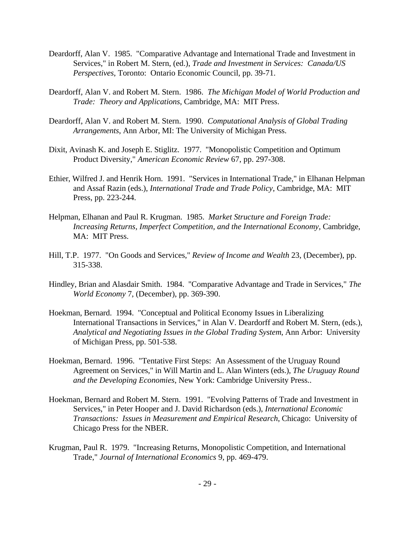- Deardorff, Alan V. 1985. "Comparative Advantage and International Trade and Investment in Services," in Robert M. Stern, (ed.), *Trade and Investment in Services: Canada/US Perspectives*, Toronto: Ontario Economic Council, pp. 39-71.
- Deardorff, Alan V. and Robert M. Stern. 1986. *The Michigan Model of World Production and Trade: Theory and Applications*, Cambridge, MA: MIT Press.
- Deardorff, Alan V. and Robert M. Stern. 1990. *Computational Analysis of Global Trading Arrangements*, Ann Arbor, MI: The University of Michigan Press.
- Dixit, Avinash K. and Joseph E. Stiglitz. 1977. "Monopolistic Competition and Optimum Product Diversity," *American Economic Review* 67, pp. 297-308.
- Ethier, Wilfred J. and Henrik Horn. 1991. "Services in International Trade," in Elhanan Helpman and Assaf Razin (eds.), *International Trade and Trade Policy*, Cambridge, MA: MIT Press, pp. 223-244.
- Helpman, Elhanan and Paul R. Krugman. 1985. *Market Structure and Foreign Trade: Increasing Returns, Imperfect Competition, and the International Economy,* Cambridge, MA: MIT Press.
- Hill, T.P. 1977. "On Goods and Services," *Review of Income and Wealth* 23, (December), pp. 315-338.
- Hindley, Brian and Alasdair Smith. 1984. "Comparative Advantage and Trade in Services," *The World Economy* 7, (December), pp. 369-390.
- Hoekman, Bernard. 1994. "Conceptual and Political Economy Issues in Liberalizing International Transactions in Services," in Alan V. Deardorff and Robert M. Stern, (eds.), *Analytical and Negotiating Issues in the Global Trading System*, Ann Arbor: University of Michigan Press, pp. 501-538.
- Hoekman, Bernard. 1996. "Tentative First Steps: An Assessment of the Uruguay Round Agreement on Services," in Will Martin and L. Alan Winters (eds.), *The Uruguay Round and the Developing Economies*, New York: Cambridge University Press..
- Hoekman, Bernard and Robert M. Stern. 1991. "Evolving Patterns of Trade and Investment in Services," in Peter Hooper and J. David Richardson (eds.), *International Economic Transactions: Issues in Measurement and Empirical Research*, Chicago: University of Chicago Press for the NBER.
- Krugman, Paul R. 1979. "Increasing Returns, Monopolistic Competition, and International Trade," *Journal of International Economics* 9, pp. 469-479.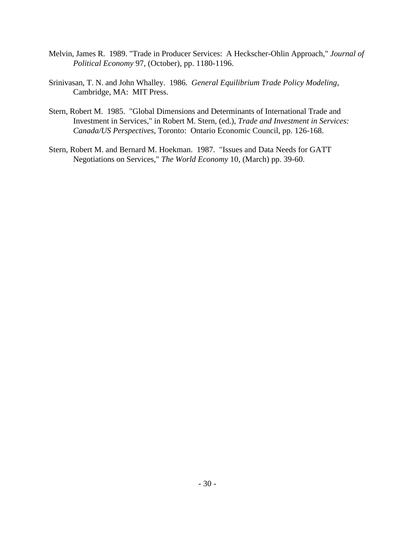- Melvin, James R. 1989. "Trade in Producer Services: A Heckscher-Ohlin Approach," *Journal of Political Economy* 97, (October), pp. 1180-1196.
- Srinivasan, T. N. and John Whalley. 1986. *General Equilibrium Trade Policy Modeling*, Cambridge, MA: MIT Press.
- Stern, Robert M. 1985. "Global Dimensions and Determinants of International Trade and Investment in Services," in Robert M. Stern, (ed.), *Trade and Investment in Services: Canada/US Perspectives*, Toronto: Ontario Economic Council, pp. 126-168.
- Stern, Robert M. and Bernard M. Hoekman. 1987. "Issues and Data Needs for GATT Negotiations on Services," *The World Economy* 10, (March) pp. 39-60.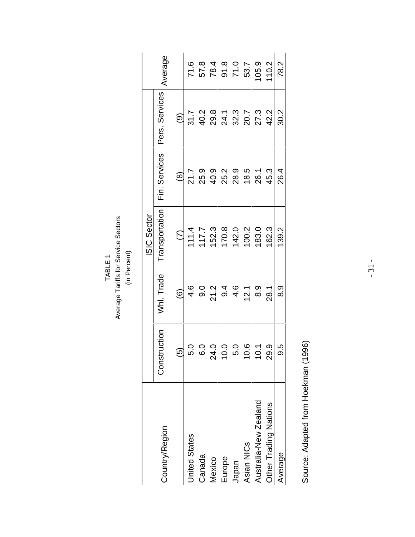| ۰<br>ш       | C |
|--------------|---|
| <b>TABLI</b> |   |
|              | ì |
|              | ı |
|              |   |

Average Tariffs for Service Sectors Average Tariffs for Service Sectors (in Percent) (in Percent)

|                       |                          |                            | <b>ISIC Sector</b> |               |                   |                      |
|-----------------------|--------------------------|----------------------------|--------------------|---------------|-------------------|----------------------|
| Country/Region        | Construction             | Whl. Trade                 | Transportation     | Fin. Services | Pers. Services    | Average              |
|                       | $\widehat{\mathfrak{G}}$ | $\widehat{\circ}$          |                    | @             | $\widehat{\odot}$ |                      |
| <b>Jnited States</b>  | 5.0                      | 4.6                        | 111.4              | 21.7          | 51.7              | 71.6                 |
| Canada                | 0.9                      | 0.6                        | 117.7              | 25.9          | 40.2              | 57.8                 |
| Mexico                | 24.0                     |                            | 152.3              | 40.9          | 29.8              | 78.4                 |
| Europe                | 0.0                      | $21.2$<br>9.4              | 170.8              | 25.2          | 24.1              |                      |
| Japan                 | 5.0                      |                            | 142.0              | 28.9          |                   | 91.8<br>71.0<br>53.7 |
| Asian NICs            | 0.6                      | $49.0$<br>$49.0$<br>$69.0$ | 100.2              | 18.5          | 32.3<br>20.7      |                      |
| Australia-New Zealand | $\tilde{\circ}$          |                            | 183.0              | 26.1          | 27.3              | 105.9                |
| Other Trading Nations | တ်<br>ပဲ<br>$\sim$       | 28.1                       | 162.3              | 45.3          | 42.2              | 110.2                |
| Average               | <u>ი</u><br>თ            | 0.<br>හ                    | 139.2              | 26.4          | 30.2              | 78.2                 |
|                       |                          |                            |                    |               |                   |                      |

Source: Adapted from Hoekman (1996) Source: Adapted from Hoekman (1996)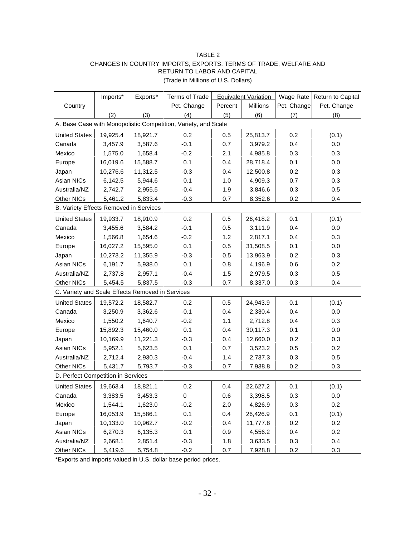#### TABLE 2 CHANGES IN COUNTRY IMPORTS, EXPORTS, TERMS OF TRADE, WELFARE AND RETURN TO LABOR AND CAPITAL (Trade in Millions of U.S. Dollars)

|                                                  | Imports* | Exports* | Terms of Trade                                                 |         | <b>Equivalent Variation</b> | Wage Rate   | Return to Capital |
|--------------------------------------------------|----------|----------|----------------------------------------------------------------|---------|-----------------------------|-------------|-------------------|
| Country                                          |          |          | Pct. Change                                                    | Percent | Millions                    | Pct. Change | Pct. Change       |
|                                                  | (2)      | (3)      | (4)                                                            | (5)     | (6)                         | (7)         | (8)               |
|                                                  |          |          | A. Base Case with Monopolistic Competition, Variety, and Scale |         |                             |             |                   |
| <b>United States</b>                             | 19,925.4 | 18,921.7 | 0.2                                                            | 0.5     | 25,813.7                    | 0.2         | (0.1)             |
| Canada                                           | 3,457.9  | 3,587.6  | $-0.1$                                                         | 0.7     | 3,979.2                     | 0.4         | 0.0               |
| Mexico                                           | 1,575.0  | 1,658.4  | $-0.2$                                                         | 2.1     | 4,985.8                     | 0.3         | 0.3               |
| Europe                                           | 16,019.6 | 15,588.7 | 0.1                                                            | 0.4     | 28,718.4                    | 0.1         | 0.0               |
| Japan                                            | 10,276.6 | 11,312.5 | $-0.3$                                                         | 0.4     | 12,500.8                    | 0.2         | 0.3               |
| Asian NICs                                       | 6,142.5  | 5,944.6  | 0.1                                                            | 1.0     | 4,909.3                     | 0.7         | 0.3               |
| Australia/NZ                                     | 2,742.7  | 2,955.5  | $-0.4$                                                         | 1.9     | 3,846.6                     | 0.3         | 0.5               |
| Other NICs                                       | 5,461.2  | 5,833.4  | $-0.3$                                                         | 0.7     | 8,352.6                     | 0.2         | 0.4               |
| B. Variety Effects Removed in Services           |          |          |                                                                |         |                             |             |                   |
| <b>United States</b>                             | 19,933.7 | 18,910.9 | 0.2                                                            | 0.5     | 26,418.2                    | 0.1         | (0.1)             |
| Canada                                           | 3,455.6  | 3,584.2  | $-0.1$                                                         | 0.5     | 3,111.9                     | 0.4         | 0.0               |
| Mexico                                           | 1,566.8  | 1,654.6  | $-0.2$                                                         | 1.2     | 2,817.1                     | 0.4         | 0.3               |
| Europe                                           | 16,027.2 | 15,595.0 | 0.1                                                            | 0.5     | 31,508.5                    | 0.1         | 0.0               |
| Japan                                            | 10,273.2 | 11,355.9 | $-0.3$                                                         | 0.5     | 13,963.9                    | 0.2         | 0.3               |
| Asian NICs                                       | 6,191.7  | 5,938.0  | 0.1                                                            | 0.8     | 4,196.9                     | 0.6         | 0.2               |
| Australia/NZ                                     | 2,737.8  | 2,957.1  | $-0.4$                                                         | 1.5     | 2,979.5                     | 0.3         | 0.5               |
| Other NICs                                       | 5,454.5  | 5,837.5  | $-0.3$                                                         | 0.7     | 8,337.0                     | 0.3         | 0.4               |
| C. Variety and Scale Effects Removed in Services |          |          |                                                                |         |                             |             |                   |
| <b>United States</b>                             | 19,572.2 | 18,582.7 | 0.2                                                            | 0.5     | 24,943.9                    | 0.1         | (0.1)             |
| Canada                                           | 3,250.9  | 3,362.6  | $-0.1$                                                         | 0.4     | 2,330.4                     | 0.4         | 0.0               |
| Mexico                                           | 1,550.2  | 1,640.7  | $-0.2$                                                         | 1.1     | 2,712.8                     | 0.4         | 0.3               |
| Europe                                           | 15,892.3 | 15,460.0 | 0.1                                                            | 0.4     | 30,117.3                    | 0.1         | 0.0               |
| Japan                                            | 10,169.9 | 11,221.3 | $-0.3$                                                         | 0.4     | 12,660.0                    | 0.2         | 0.3               |
| Asian NICs                                       | 5,952.1  | 5,623.5  | 0.1                                                            | 0.7     | 3,523.2                     | 0.5         | 0.2               |
| Australia/NZ                                     | 2,712.4  | 2,930.3  | $-0.4$                                                         | 1.4     | 2,737.3                     | 0.3         | 0.5               |
| Other NICs                                       | 5,431.7  | 5,793.7  | $-0.3$                                                         | 0.7     | 7,938.8                     | 0.2         | 0.3               |
| D. Perfect Competition in Services               |          |          |                                                                |         |                             |             |                   |
| <b>United States</b>                             | 19,663.4 | 18,821.1 | 0.2                                                            | 0.4     | 22,627.2                    | 0.1         | (0.1)             |
| Canada                                           | 3,383.5  | 3,453.3  | $\mathsf 0$                                                    | 0.6     | 3,398.5                     | 0.3         | $0.0\,$           |
| Mexico                                           | 1,544.1  | 1,623.0  | $-0.2$                                                         | 2.0     | 4,826.9                     | 0.3         | 0.2               |
| Europe                                           | 16,053.9 | 15,586.1 | 0.1                                                            | 0.4     | 26,426.9                    | 0.1         | (0.1)             |
| Japan                                            | 10,133.0 | 10,962.7 | $-0.2$                                                         | 0.4     | 11,777.8                    | 0.2         | 0.2               |
| Asian NICs                                       | 6,270.3  | 6,135.3  | 0.1                                                            | 0.9     | 4,556.2                     | 0.4         | 0.2               |
| Australia/NZ                                     | 2,668.1  | 2,851.4  | $-0.3$                                                         | 1.8     | 3,633.5                     | 0.3         | 0.4               |
| Other NICs                                       | 5,419.6  | 5,754.8  | $-0.2$                                                         | 0.7     | 7,928.8                     | 0.2         | 0.3               |

\*Exports and imports valued in U.S. dollar base period prices.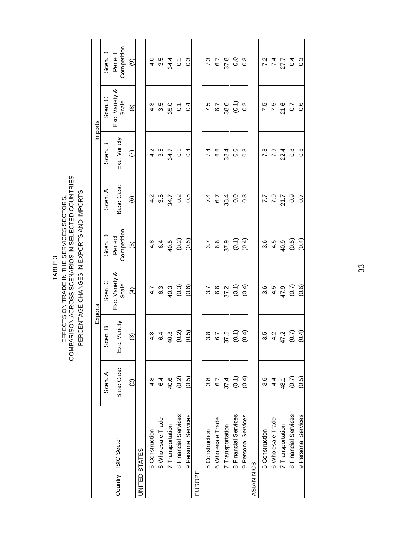TABLE 3 TABLE 3

# EFFECTS ON TRADE IN THE SERVICES SECTORS,<br>COMPARISON ACROSS SCENARIOS IN SELECTED COUNTRIES COMPARISON ACROSS SCENARIOS IN SELECTED COUNTRIES PERCENTAGE CHANGES IN EXPORTS AND IMPORTS PERCENTAGE CHANGES IN EXPORTS AND IMPORTS EFFECTS ON TRADE IN THE SERVICES SECTORS,

|                      |                    |                  | Exports                 |                        |                                   |                                                                      | Imports                          |                                                    |
|----------------------|--------------------|------------------|-------------------------|------------------------|-----------------------------------|----------------------------------------------------------------------|----------------------------------|----------------------------------------------------|
|                      | Scen. A            | Scen. B          | Scen. C                 | Scen.D                 | Scen. A                           | Scen. B                                                              | Scen. C                          | Scen. D                                            |
| Country ISIC Sector  | Base Case          | Exc. Variety     | Exc. Variety &<br>Scale | Competition<br>Perfect | Base Case                         | Exc. Variety                                                         | Exc. Variety &<br>Scale          | Competition<br>Perfect                             |
|                      | $\widehat{\omega}$ | ල                | $\widehat{f}$           | $\overline{6}$         | $\widehat{\circ}$                 | $\widehat{\in}$                                                      | $\circledcirc$                   | $\circledcirc$                                     |
| UNITED STATES        |                    |                  |                         |                        |                                   |                                                                      |                                  |                                                    |
| 5 Construction       | $\frac{4}{3}$      | $4.\overline{8}$ | 4.7                     | 4.8                    | 4.2                               |                                                                      | 4.3                              | 4.0                                                |
| 6 Wholesale Trade    | 6.4                | 6.4              | 6.3                     | 6.4                    | 3.5                               | $4\frac{1}{3}$<br>$6\frac{1}{3}$<br>$6\frac{1}{3}$<br>$6\frac{1}{3}$ |                                  |                                                    |
| 7 Transportation     | 40.6               | 40.8             |                         | 40.5                   | 34.7<br>0.2                       |                                                                      | $3.5$ 0.1                        | $344$<br>$0.1$                                     |
| 8 Financial Services | (0.2)              | (0.2)            | $40.3$<br>$(0.3)$       | (0.5)                  |                                   |                                                                      |                                  |                                                    |
| 9 Personal Services  | <u>(ດິ</u>         | (0.5)            | (0.6)                   |                        | 0.5                               | $\overline{a}$                                                       | 0.4                              | $\frac{3}{2}$                                      |
| EUROPE               |                    |                  |                         |                        |                                   |                                                                      |                                  |                                                    |
| 5 Construction       | 3.8                | 3.8              | 3.7                     | 3.7                    |                                   | 7.4                                                                  |                                  |                                                    |
| 6 Wholesale Trade    | 6.7                | 6.7              | 6.6                     | $6.6\,$                | 7.4<br>6.7                        | 6.6                                                                  | 7.5<br>6.7                       | $7.3$<br>6.7                                       |
| 7 Transportation     | 37.4               | 37.5             |                         |                        | 38.4                              | $38.4$<br>0.0                                                        | $38.6$<br>(0.1)                  | 37.8<br>0.0                                        |
| 8 Financial Services | (0.1)              | (0.1)            | $37.2$<br>(0.1)         | $37.9$<br>(0.1)        |                                   |                                                                      |                                  |                                                    |
| 9 Personal Services  | (0.4)              | (0.4)            | (0.4)                   | (0.4)                  | $\frac{3}{2}$                     | $0.\overline{3}$                                                     | 0.2                              | 0.3                                                |
| ASIAN NICS           |                    |                  |                         |                        |                                   |                                                                      |                                  |                                                    |
| 5 Construction       | 3.6                | 3.5              | 3.6                     |                        |                                   | 7.8                                                                  |                                  |                                                    |
| 6 Wholesale Trade    | 4.4                | 4.2              |                         | $3.5$<br>$4.5$         |                                   |                                                                      |                                  |                                                    |
| 7 Transportation     | 48.1               | 47.2             | 47.9                    | 40.9                   | $7.7$<br>$7.9$<br>$21.7$<br>$0.9$ | $7.9$<br>22.4                                                        | $7.5$<br>$7.5$<br>$2.7$<br>$0.7$ | $7\frac{2}{4}$<br>$7\frac{1}{4}$<br>$0.4$<br>$0.4$ |
| 8 Financial Services | (0.7)              | (0.7)            | (0.7)                   | (0.5)                  |                                   | $\frac{8}{2}$                                                        |                                  |                                                    |
| 9 Personal Services  | (0.5)              | (0.4)            | (0.6)                   | (0.4)                  | $\overline{0.7}$                  | 0.6                                                                  | 0.6                              | 0.3                                                |